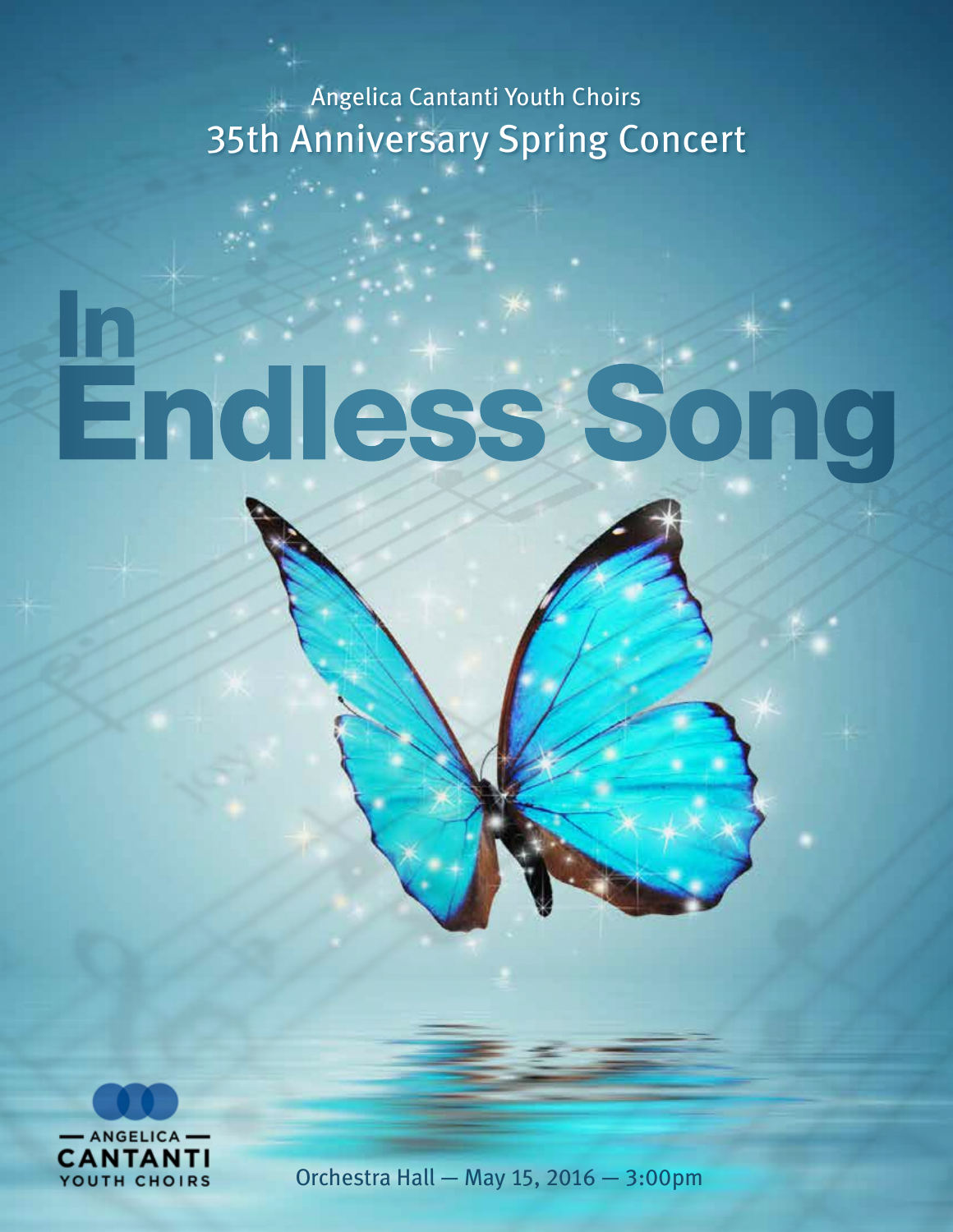Angelica Cantanti Youth Choirs 35th Anniversary Spring Concert

# Endless Song In



Orchestra Hall — May 15, 2016 — 3:00pm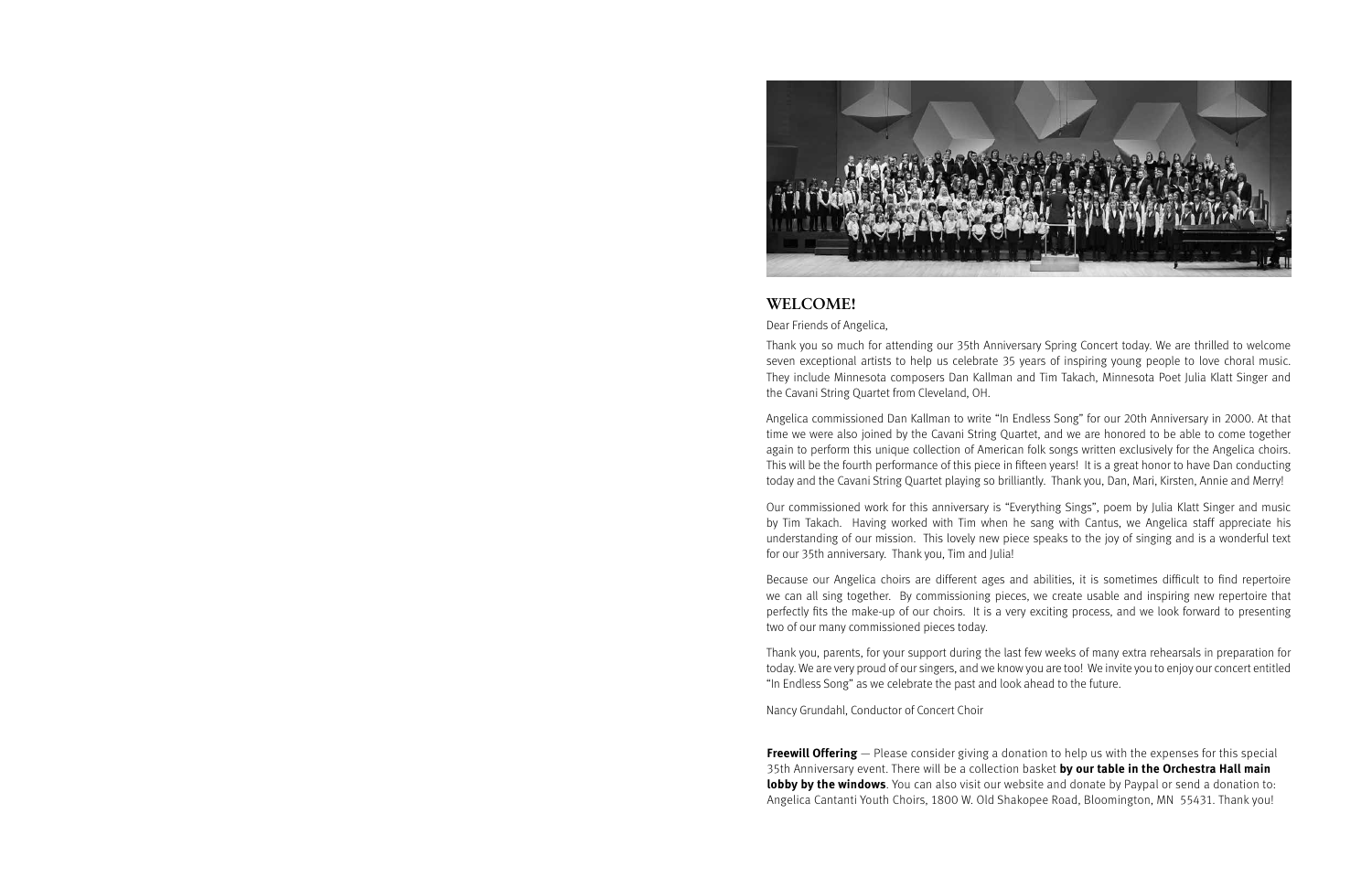

## **WELCOME!**

Dear Friends of Angelica,

Thank you so much for attending our 35th Anniversary Spring Concert today. We are thrilled to welcome seven exceptional artists to help us celebrate 35 years of inspiring young people to love choral music. They include Minnesota composers Dan Kallman and Tim Takach, Minnesota Poet Julia Klatt Singer and the Cavani String Quartet from Cleveland, OH.

Angelica commissioned Dan Kallman to write "In Endless Song" for our 20th Anniversary in 2000. At that time we were also joined by the Cavani String Quartet, and we are honored to be able to come together again to perform this unique collection of American folk songs written exclusively for the Angelica choirs. This will be the fourth performance of this piece in fifteen years! It is a great honor to have Dan conducting today and the Cavani String Quartet playing so brilliantly. Thank you, Dan, Mari, Kirsten, Annie and Merry!

Our commissioned work for this anniversary is "Everything Sings", poem by Julia Klatt Singer and music by Tim Takach. Having worked with Tim when he sang with Cantus, we Angelica staff appreciate his understanding of our mission. This lovely new piece speaks to the joy of singing and is a wonderful text for our 35th anniversary. Thank you, Tim and Julia!

Because our Angelica choirs are different ages and abilities, it is sometimes difficult to find repertoire we can all sing together. By commissioning pieces, we create usable and inspiring new repertoire that perfectly fits the make-up of our choirs. It is a very exciting process, and we look forward to presenting two of our many commissioned pieces today.

Thank you, parents, for your support during the last few weeks of many extra rehearsals in preparation for today. We are very proud of our singers, and we know you are too! We invite you to enjoy our concert entitled "In Endless Song" as we celebrate the past and look ahead to the future.

Nancy Grundahl, Conductor of Concert Choir

**Freewill Offering** — Please consider giving a donation to help us with the expenses for this special 35th Anniversary event. There will be a collection basket **by our table in the Orchestra Hall main lobby by the windows**. You can also visit our website and donate by Paypal or send a donation to: Angelica Cantanti Youth Choirs, 1800 W. Old Shakopee Road, Bloomington, MN 55431. Thank you!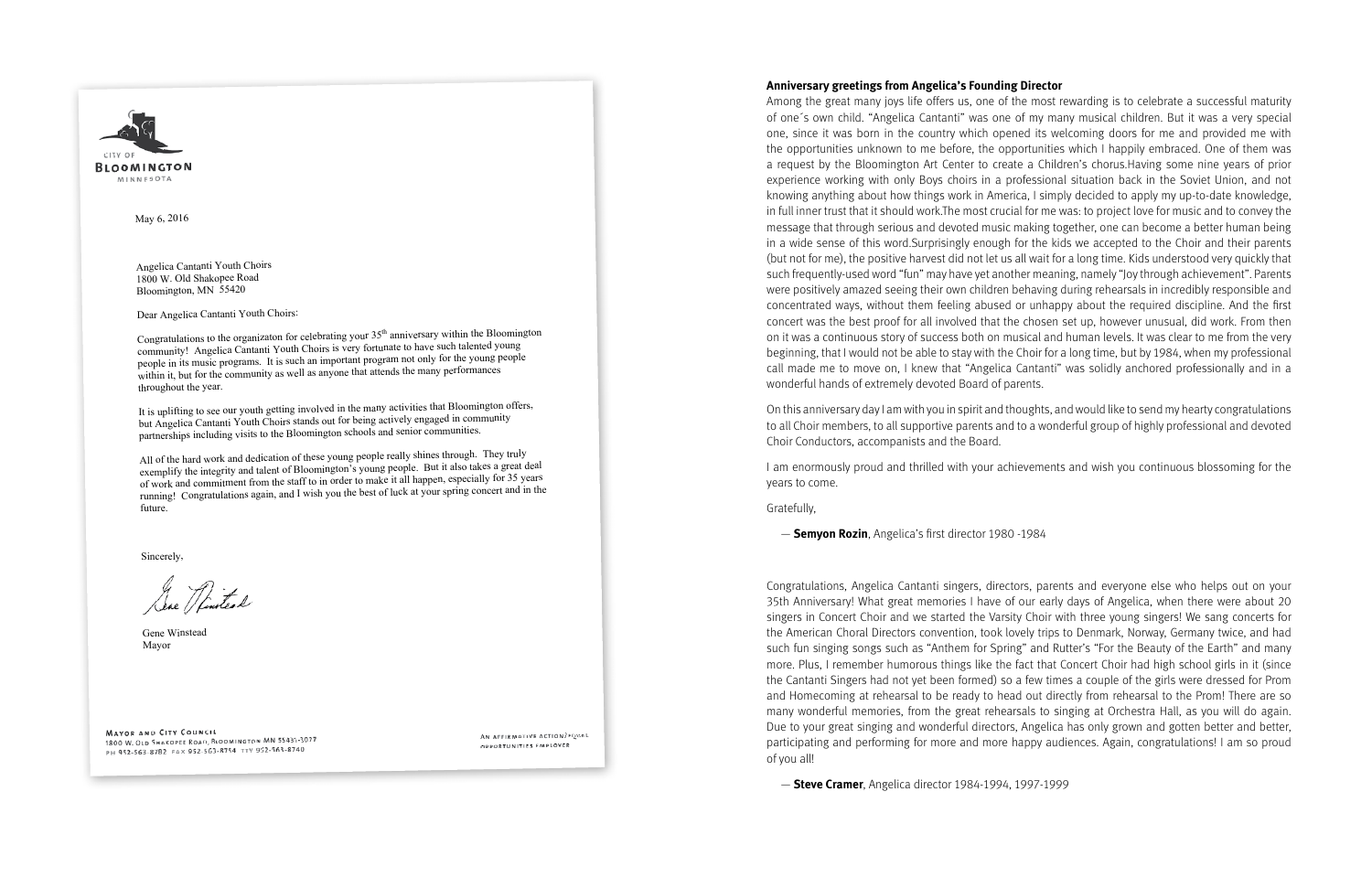

May 6, 2016

Angelica Cantanti Youth Choirs 1800 W. Old Shakopee Road Bloomington, MN 55420

Dear Angelica Cantanti Youth Choirs:

Congratulations to the organizaton for celebrating your 35<sup>th</sup> anniversary within the Bloomington community! Angelica Cantanti Youth Choirs is very fortunate to have such talented young people in its music programs. It is such an important program not only for the young people within it, but for the community as well as anyone that attends the many performances throughout the year.

It is uplifting to see our youth getting involved in the many activities that Bloomington offers, but Angelica Cantanti Youth Choirs stands out for being actively engaged in community partnerships including visits to the Bloomington schools and senior communities.

All of the hard work and dedication of these young people really shines through. They truly exemplify the integrity and talent of Bloomington's young people. But it also takes a great deal of work and commitment from the staff to in order to make it all happen, especially for 35 years running! Congratulations again, and I wish you the best of luck at your spring concert and in the future.

Sincerely,

Jese Rintead

Gene Winstead Mayor

**MAYOR AND CITY COUNCIL MAYOR AND CITY COONCIL**<br>1800 W. OLD SHAKOPEE ROAD, BLOOMINGTON MN 55431-3027 PH 952-563-8782 FAX 952-563-8754 TTY 952-563-8740

AN AFFIRMATIVE ACTION/EQUAL OPPORTUNITIES EMPLOYER

### **Anniversary greetings from Angelica's Founding Director**

Among the great many joys life offers us, one of the most rewarding is to celebrate a successful maturity of one´s own child. "Angelica Cantanti" was one of my many musical children. But it was a very special one, since it was born in the country which opened its welcoming doors for me and provided me with the opportunities unknown to me before, the opportunities which I happily embraced. One of them was a request by the Bloomington Art Center to create a Children's chorus.Having some nine years of prior experience working with only Boys choirs in a professional situation back in the Soviet Union, and not knowing anything about how things work in America, I simply decided to apply my up-to-date knowledge, in full inner trust that it should work.The most crucial for me was: to project love for music and to convey the message that through serious and devoted music making together, one can become a better human being in a wide sense of this word.Surprisingly enough for the kids we accepted to the Choir and their parents (but not for me), the positive harvest did not let us all wait for a long time. Kids understood very quickly that such frequently-used word "fun" may have yet another meaning, namely "Joy through achievement". Parents were positively amazed seeing their own children behaving during rehearsals in incredibly responsible and concentrated ways, without them feeling abused or unhappy about the required discipline. And the first concert was the best proof for all involved that the chosen set up, however unusual, did work. From then on it was a continuous story of success both on musical and human levels. It was clear to me from the very beginning, that I would not be able to stay with the Choir for a long time, but by 1984, when my professional call made me to move on, I knew that "Angelica Cantanti" was solidly anchored professionally and in a wonderful hands of extremely devoted Board of parents.

On this anniversary day I am with you in spirit and thoughts, and would like to send my hearty congratulations to all Choir members, to all supportive parents and to a wonderful group of highly professional and devoted Choir Conductors, accompanists and the Board.

I am enormously proud and thrilled with your achievements and wish you continuous blossoming for the years to come.

Gratefully,

— **Semyon Rozin**, Angelica's first director 1980 -1984

Congratulations, Angelica Cantanti singers, directors, parents and everyone else who helps out on your 35th Anniversary! What great memories I have of our early days of Angelica, when there were about 20 singers in Concert Choir and we started the Varsity Choir with three young singers! We sang concerts for the American Choral Directors convention, took lovely trips to Denmark, Norway, Germany twice, and had such fun singing songs such as "Anthem for Spring" and Rutter's "For the Beauty of the Earth" and many more. Plus, I remember humorous things like the fact that Concert Choir had high school girls in it (since the Cantanti Singers had not yet been formed) so a few times a couple of the girls were dressed for Prom and Homecoming at rehearsal to be ready to head out directly from rehearsal to the Prom! There are so many wonderful memories, from the great rehearsals to singing at Orchestra Hall, as you will do again. Due to your great singing and wonderful directors, Angelica has only grown and gotten better and better, participating and performing for more and more happy audiences. Again, congratulations! I am so proud of you all!

— **Steve Cramer**, Angelica director 1984-1994, 1997-1999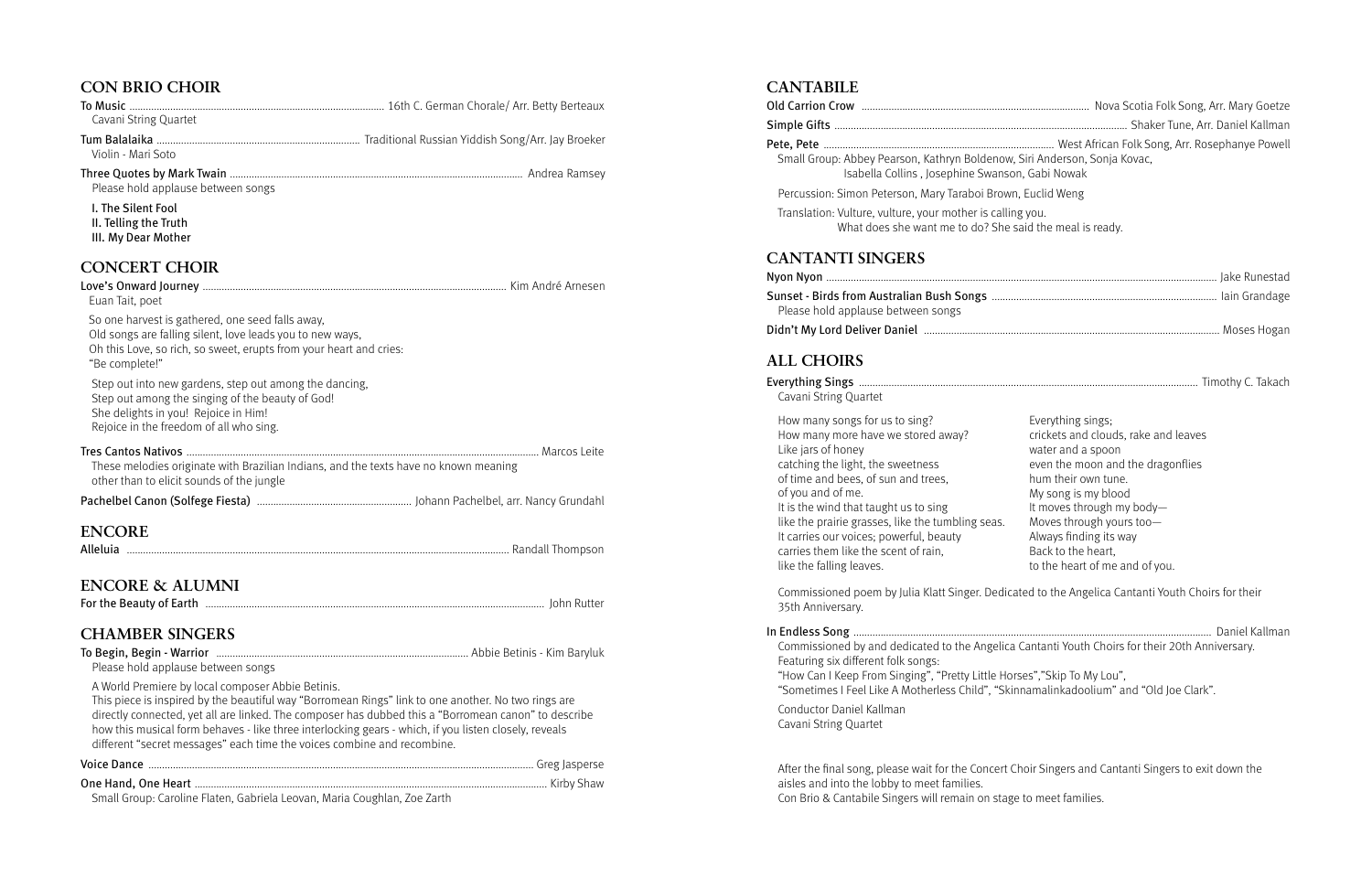# **CANTABILE**

Old Carrion Crow .................................................................................... Nova Scotia Folk Song, Arr. Mary Goetze

Simple Gifts ............................................................................................................ Shaker Tune, Arr. Daniel Kallman

#### Pete, Pete ..................................................................................... West African Folk Song, Arr. Rosephanye Powell

Small Group: Abbey Pearson, Kathryn Boldenow Isabella Collins, Josephine Swans

Percussion: Simon Peterson, Mary Taraboi Brow

Translation: Vulture, vulture, your mother is calli What does she want me to do? She

Sunset - Birds from Australian Bush Songs ........ Please hold applause between songs

# **CANTANTI SINGERS**

Commissioned poem by Julia Klatt Singer. Dedic 35th Anniversary.

Nyon Nyon ................................................................................................................................................ Jake Runestad

Didn't My Lord Deliver Daniel ............................................................................................................. Moses Hogan

# **ALL CHOIRS**

# Everything Sings ............................................................................................................................. Timothy C. Takach

Cavani String Quartet

#### In Endless Song .................................................................................................................................... Daniel Kallman

Commissioned by and dedicated to the Angelica Featuring six different folk songs: "How Can I Keep From Singing", "Pretty Little Ho "Sometimes I Feel Like A Motherless Child", "Sk

 Conductor Daniel Kallman Cavani String Quartet

 After the final song, please wait for the Concert Choir Singers and Cantanti Singers to exit down the aisles and into the lobby to meet families. Con Brio & Cantabile Singers will remain on stage to meet families.

How many songs for us to sing? How many more have we stored away? Like jars of honey catching the light, the sweetness of time and bees, of sun and trees, of you and of me. It is the wind that taught us to sing like the prairie grasses, like the tumbling seas. It carries our voices; powerful, beauty carries them like the scent of rain, like the falling leaves.

| Nova Scotia Folk Song, Arr. Mary Goetze                                                                                                                                                                                                                                                                                                                               |
|-----------------------------------------------------------------------------------------------------------------------------------------------------------------------------------------------------------------------------------------------------------------------------------------------------------------------------------------------------------------------|
| West African Folk Song, Arr. Rosephanye Powell<br>w, Siri Anderson, Sonja Kovac,<br>on, Gabi Nowak                                                                                                                                                                                                                                                                    |
| vn, Euclid Weng                                                                                                                                                                                                                                                                                                                                                       |
| ing you.<br>said the meal is ready.                                                                                                                                                                                                                                                                                                                                   |
|                                                                                                                                                                                                                                                                                                                                                                       |
|                                                                                                                                                                                                                                                                                                                                                                       |
|                                                                                                                                                                                                                                                                                                                                                                       |
| Everything sings;<br>crickets and clouds, rake and leaves<br>water and a spoon<br>even the moon and the dragonflies<br>hum their own tune.<br>My song is my blood<br>It moves through my body-<br>Moves through yours too-<br>Always finding its way<br>Back to the heart,<br>to the heart of me and of you.<br>cated to the Angelica Cantanti Youth Choirs for their |
| a Cantanti Youth Choirs for their 20th Anniversary.                                                                                                                                                                                                                                                                                                                   |
| orses","Skip To My Lou",<br>.innamalinkadoolium" and "Old Joe Clark".                                                                                                                                                                                                                                                                                                 |
|                                                                                                                                                                                                                                                                                                                                                                       |

# **CON BRIO CHOIR**

| <b>COTT DIMO CITOIN</b>                                                                                                                                                                                                                                                                                                                                                                                                                              |  |
|------------------------------------------------------------------------------------------------------------------------------------------------------------------------------------------------------------------------------------------------------------------------------------------------------------------------------------------------------------------------------------------------------------------------------------------------------|--|
| Cavani String Quartet                                                                                                                                                                                                                                                                                                                                                                                                                                |  |
|                                                                                                                                                                                                                                                                                                                                                                                                                                                      |  |
| Violin - Mari Soto                                                                                                                                                                                                                                                                                                                                                                                                                                   |  |
| Please hold applause between songs                                                                                                                                                                                                                                                                                                                                                                                                                   |  |
| I. The Silent Fool<br>II. Telling the Truth<br>III. My Dear Mother                                                                                                                                                                                                                                                                                                                                                                                   |  |
| <b>CONCERT CHOIR</b>                                                                                                                                                                                                                                                                                                                                                                                                                                 |  |
| Euan Tait, poet                                                                                                                                                                                                                                                                                                                                                                                                                                      |  |
| So one harvest is gathered, one seed falls away,<br>Old songs are falling silent, love leads you to new ways,<br>Oh this Love, so rich, so sweet, erupts from your heart and cries:<br>"Be complete!"                                                                                                                                                                                                                                                |  |
| Step out into new gardens, step out among the dancing,<br>Step out among the singing of the beauty of God!<br>She delights in you! Rejoice in Him!<br>Rejoice in the freedom of all who sing.                                                                                                                                                                                                                                                        |  |
| These melodies originate with Brazilian Indians, and the texts have no known meaning<br>other than to elicit sounds of the jungle                                                                                                                                                                                                                                                                                                                    |  |
|                                                                                                                                                                                                                                                                                                                                                                                                                                                      |  |
| <b>ENCORE</b>                                                                                                                                                                                                                                                                                                                                                                                                                                        |  |
|                                                                                                                                                                                                                                                                                                                                                                                                                                                      |  |
| ENCORE & ALUMNI                                                                                                                                                                                                                                                                                                                                                                                                                                      |  |
|                                                                                                                                                                                                                                                                                                                                                                                                                                                      |  |
| <b>CHAMBER SINGERS</b>                                                                                                                                                                                                                                                                                                                                                                                                                               |  |
| Please hold applause between songs                                                                                                                                                                                                                                                                                                                                                                                                                   |  |
| A World Premiere by local composer Abbie Betinis.<br>This piece is inspired by the beautiful way "Borromean Rings" link to one another. No two rings are<br>directly connected, yet all are linked. The composer has dubbed this a "Borromean canon" to describe<br>how this musical form behaves - like three interlocking gears - which, if you listen closely, reveals<br>different "secret messages" each time the voices combine and recombine. |  |
|                                                                                                                                                                                                                                                                                                                                                                                                                                                      |  |
|                                                                                                                                                                                                                                                                                                                                                                                                                                                      |  |

Small Group: Caroline Flaten, Gabriela Leovan, Maria Coughlan, Zoe Zarth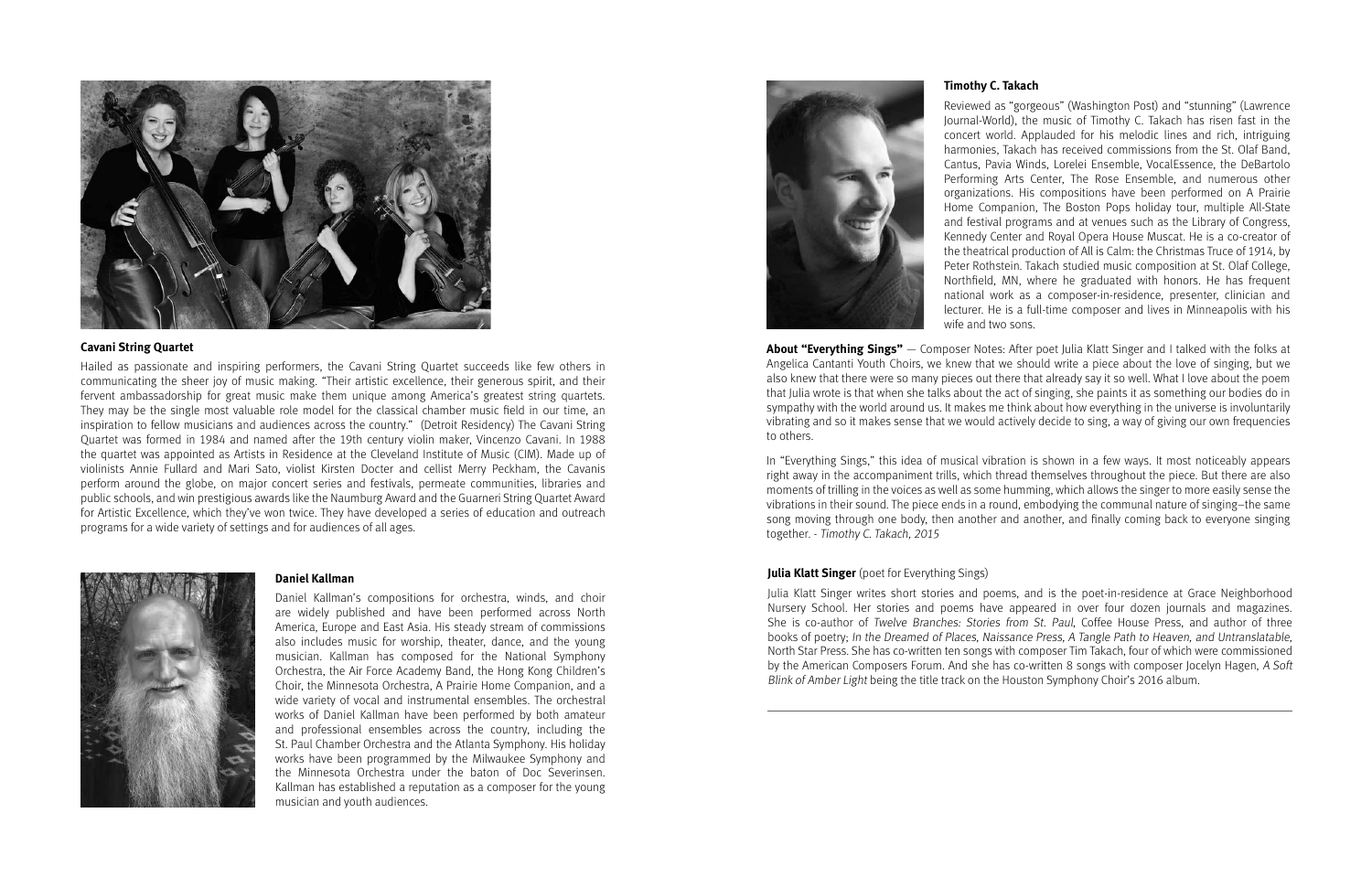Julia Klatt Singer writes short stories and poems, and is the poet-in-residence at Grace Neighborhood Nursery School. Her stories and poems have appeared in over four dozen journals and magazines. She is co-author of Twelve Branches: Stories from St. Paul, Coffee House Press, and author of three books of poetry; In the Dreamed of Places, Naissance Press, A Tangle Path to Heaven, and Untranslatable, North Star Press. She has co-written ten songs with composer Tim Takach, four of which were commissioned by the American Composers Forum. And she has co-written 8 songs with composer Jocelyn Hagen, A Soft Blink of Amber Light being the title track on the Houston Symphony Choir's 2016 album.

#### **Timothy C. Takach**

Reviewed as "gorgeous" (Washington Post) and "stunning" (Lawrence Journal-World), the music of Timothy C. Takach has risen fast in the concert world. Applauded for his melodic lines and rich, intriguing harmonies, Takach has received commissions from the St. Olaf Band, Cantus, Pavia Winds, Lorelei Ensemble, VocalEssence, the DeBartolo Performing Arts Center, The Rose Ensemble, and numerous other organizations. His compositions have been performed on A Prairie Home Companion, The Boston Pops holiday tour, multiple All-State and festival programs and at venues such as the Library of Congress, Kennedy Center and Royal Opera House Muscat. He is a co-creator of the theatrical production of All is Calm: the Christmas Truce of 1914, by Peter Rothstein. Takach studied music composition at St. Olaf College, Northfield, MN, where he graduated with honors. He has frequent national work as a composer-in-residence, presenter, clinician and lecturer. He is a full-time composer and lives in Minneapolis with his wife and two sons.

**About "Everything Sings"** — Composer Notes: After poet Julia Klatt Singer and I talked with the folks at Angelica Cantanti Youth Choirs, we knew that we should write a piece about the love of singing, but we also knew that there were so many pieces out there that already say it so well. What I love about the poem that Julia wrote is that when she talks about the act of singing, she paints it as something our bodies do in sympathy with the world around us. It makes me think about how everything in the universe is involuntarily vibrating and so it makes sense that we would actively decide to sing, a way of giving our own frequencies to others.

In "Everything Sings," this idea of musical vibration is shown in a few ways. It most noticeably appears right away in the accompaniment trills, which thread themselves throughout the piece. But there are also moments of trilling in the voices as well as some humming, which allows the singer to more easily sense the vibrations in their sound. The piece ends in a round, embodying the communal nature of singing–the same song moving through one body, then another and another, and finally coming back to everyone singing together. - Timothy C. Takach, 2015

#### **Julia Klatt Singer** (poet for Everything Sings)



#### **Cavani String Quartet**

Hailed as passionate and inspiring performers, the Cavani String Quartet succeeds like few others in communicating the sheer joy of music making. "Their artistic excellence, their generous spirit, and their fervent ambassadorship for great music make them unique among America's greatest string quartets. They may be the single most valuable role model for the classical chamber music field in our time, an inspiration to fellow musicians and audiences across the country." (Detroit Residency) The Cavani String Quartet was formed in 1984 and named after the 19th century violin maker, Vincenzo Cavani. In 1988 the quartet was appointed as Artists in Residence at the Cleveland Institute of Music (CIM). Made up of violinists Annie Fullard and Mari Sato, violist Kirsten Docter and cellist Merry Peckham, the Cavanis perform around the globe, on major concert series and festivals, permeate communities, libraries and public schools, and win prestigious awards like the Naumburg Award and the Guarneri String Quartet Award for Artistic Excellence, which they've won twice. They have developed a series of education and outreach programs for a wide variety of settings and for audiences of all ages.



#### **Daniel Kallman**

Daniel Kallman's compositions for orchestra, winds, and choir are widely published and have been performed across North America, Europe and East Asia. His steady stream of commissions also includes music for worship, theater, dance, and the young musician. Kallman has composed for the National Symphony Orchestra, the Air Force Academy Band, the Hong Kong Children's Choir, the Minnesota Orchestra, A Prairie Home Companion, and a wide variety of vocal and instrumental ensembles. The orchestral works of Daniel Kallman have been performed by both amateur and professional ensembles across the country, including the St. Paul Chamber Orchestra and the Atlanta Symphony. His holiday works have been programmed by the Milwaukee Symphony and the Minnesota Orchestra under the baton of Doc Severinsen. Kallman has established a reputation as a composer for the young musician and youth audiences.

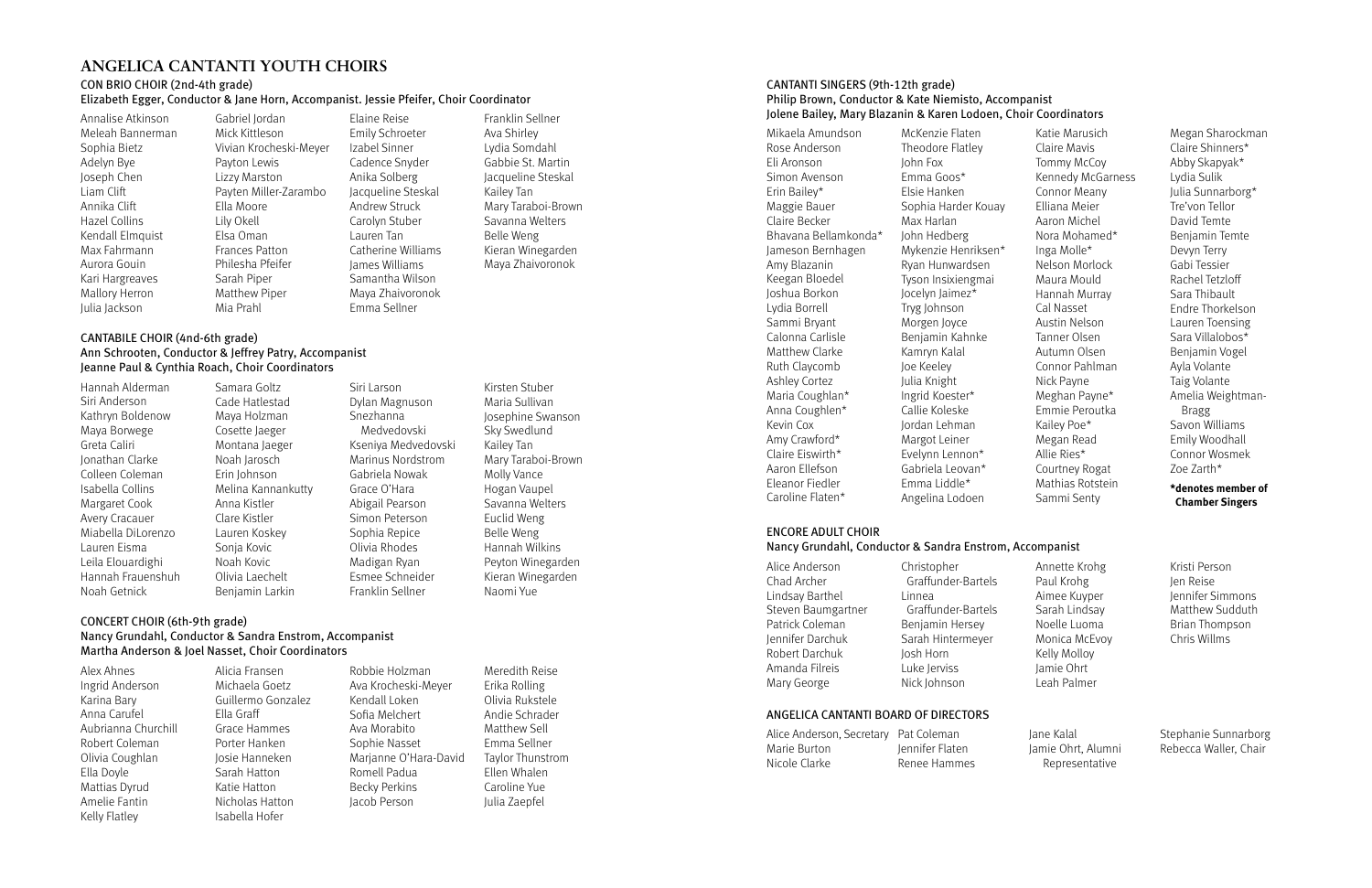CANTANTI SINGERS (9th-12th grade) Philip Brown, Conductor & Kate Niemisto, Accompanist Jolene Bailey, Mary Blazanin & Karen Lodoen, Choir Coordinators

Mikaela Amundson Rose Anderson Eli Aronson Simon Avenson Erin Bailey\* Maggie Bauer Claire Becker Bhavana Bellamkonda\* Jameson Bernhagen Amy Blazanin Keegan Bloedel Joshua Borkon Lydia Borrell Sammi Bryant Calonna Carlisle Matthew Clarke Ruth Claycomb Ashley Cortez Maria Coughlan\* Anna Coughlen\* Kevin Cox Amy Crawford\* Claire Eiswirth\* Aaron Ellefson Eleanor Fiedler Caroline Flaten\*

McKenzie Flaten Theodore Flatley John Fox Emma Goos\* Elsie Hanken Sophia Harder Kouay Max Harlan John Hedberg Mykenzie Henriksen\* Ryan Hunwardsen Tyson Insixiengmai Jocelyn Jaimez\* Tryg Johnson Morgen Joyce Benjamin Kahnke Kamryn Kalal Joe Keeley Julia Knight Ingrid Koester\* Callie Koleske Jordan Lehman Margot Leiner Evelynn Lennon\* Gabriela Leovan\* Emma Liddle\* Angelina Lodoen

Katie Marusich Claire Mavis Tommy McCoy Kennedy McGarness Connor Meany Elliana Meier Aaron Michel Nora Mohamed\* Inga Molle\* Nelson Morlock Maura Mould Hannah Murray Cal Nasset Austin Nelson Tanner Olsen Autumn Olsen Connor Pahlman Nick Payne Meghan Payne\* Emmie Peroutka Kailey Poe\* Megan Read Allie Ries\* Courtney Rogat Mathias Rotstein Sammi Senty

| Alice Anderson     | Christopher        |
|--------------------|--------------------|
| Chad Archer        | Graffunder-Bartels |
| Lindsay Barthel    | Linnea             |
| Steven Baumgartner | Graffunder-Bartels |
| Patrick Coleman    | Benjamin Hersey    |
| Jennifer Darchuk   | Sarah Hintermeyer  |
| Robert Darchuk     | Josh Horn          |
| Amanda Filreis     | Luke Jerviss       |
| Mary George        | Nick Johnson       |

Megan Sharockman Claire Shinners\* Abby Skapyak\* Lydia Sulik Julia Sunnarborg\* Tre'von Tellor David Temte Benjamin Temte Devyn Terry Gabi Tessier Rachel Tetzloff Sara Thibault Endre Thorkelson Lauren Toensing Sara Villalobos\* Benjamin Vogel Ayla Volante Taig Volante Amelia Weightman- Bragg Savon Williams Emily Woodhall Connor Wosmek Zoe Zarth\*

#### **\*denotes member of Chamber Singers**

#### ANGELICA CANTANTI BOARD OF DIRECTORS

| Alice Anderson, Secretary Pat Coleman |                 |
|---------------------------------------|-----------------|
| Marie Burton                          | Jennifer Flaten |
| Nicole Clarke                         | Renee Hammes    |

Jane Kalal Jamie Ohrt, Alumni Representative

Stephanie Sunnarborg Rebecca Waller, Chair

## ENCORE ADULT CHOIR

#### Nancy Grundahl, Conductor & Sandra Enstrom, Accompanist

Annette Krohg Paul Krohg Aimee Kuyper Sarah Lindsay Noelle Luoma Monica McEvoy Kelly Molloy Jamie Ohrt Leah Palmer

Kristi Person Jen Reise Jennifer Simmons Matthew Sudduth Brian Thompson Chris Willms

# **ANGELICA CANTANTI YOUTH CHOIRS**

#### CON BRIO CHOIR (2nd-4th grade)

#### Elizabeth Egger, Conductor & Jane Horn, Accompanist. Jessie Pfeifer, Choir Coordinator

Annalise Atkinson Meleah Bannerman Sophia Bietz Adelyn Bye Joseph Chen Liam Clift Annika Clift Hazel Collins Kendall Elmquist Max Fahrmann Aurora Gouin Kari Hargreaves Mallory Herron Julia Jackson

Gabriel Jordan Mick Kittleson Vivian Krocheski-Meyer Payton Lewis Lizzy Marston Payten Miller-Zarambo Ella Moore Lily Okell Elsa Oman Frances Patton Philesha Pfeifer Sarah Piper Matthew Piper Mia Prahl

Elaine Reise Emily Schroeter Izabel Sinner Cadence Snyder Anika Solberg Jacqueline Steskal Andrew Struck Carolyn Stuber Lauren Tan Catherine Williams James Williams Samantha Wilson Maya Zhaivoronok Emma Sellner

Franklin Sellner Ava Shirley Lydia Somdahl Gabbie St. Martin Jacqueline Steskal Kailey Tan Mary Taraboi-Brown Savanna Welters Belle Weng Kieran Winegarden Maya Zhaivoronok

#### CANTABILE CHOIR (4nd-6th grade) Ann Schrooten, Conductor & Jeffrey Patry, Accompanist Jeanne Paul & Cynthia Roach, Choir Coordinators

Hannah Alderman Siri Anderson Kathryn Boldenow Maya Borwege Greta Caliri Jonathan Clarke Colleen Coleman Isabella Collins Margaret Cook Avery Cracauer Miabella DiLorenzo Lauren Eisma Leila Elouardighi Hannah Frauenshuh Noah Getnick

Samara Goltz Cade Hatlestad Maya Holzman Cosette Jaeger Montana Jaeger Noah Jarosch Erin Johnson Melina Kannankutty Anna Kistler Clare Kistler Lauren Koskey Sonja Kovic Noah Kovic Olivia Laechelt Benjamin Larkin

Siri Larson Dylan Magnuson Snezhanna Medvedovski Kseniya Medvedovski Marinus Nordstrom Gabriela Nowak Grace O'Hara Abigail Pearson Simon Peterson Sophia Repice Olivia Rhodes Madigan Ryan Esmee Schneider Franklin Sellner

Kirsten Stuber

Maria Sullivan Josephine Swanson Sky Swedlund Kailey Tan Mary Taraboi-Brown Molly Vance Hogan Vaupel Savanna Welters Euclid Weng Belle Weng Hannah Wilkins Peyton Winegarden Kieran Winegarden Naomi Yue

#### CONCERT CHOIR (6th-9th grade) Nancy Grundahl, Conductor & Sandra Enstrom, Accompanist Martha Anderson & Joel Nasset, Choir Coordinators

Alex Ahnes Ingrid Anderson Karina Bary Anna Carufel Aubrianna Churchill Robert Coleman Olivia Coughlan Ella Doyle Mattias Dyrud Amelie Fantin Kelly Flatley

Alicia Fransen Michaela Goetz Guillermo Gonzalez Ella Graff Grace Hammes Porter Hanken Josie Hanneken Sarah Hatton Katie Hatton Nicholas Hatton Isabella Hofer

Robbie Holzman Ava Krocheski-Meyer Kendall Loken Sofia Melchert Ava Morabito Sophie Nasset Marjanne O'Hara-David Romell Padua Becky Perkins Jacob Person

Meredith Reise Erika Rolling Olivia Rukstele Andie Schrader Matthew Sell Emma Sellner Taylor Thunstrom Ellen Whalen Caroline Yue Julia Zaepfel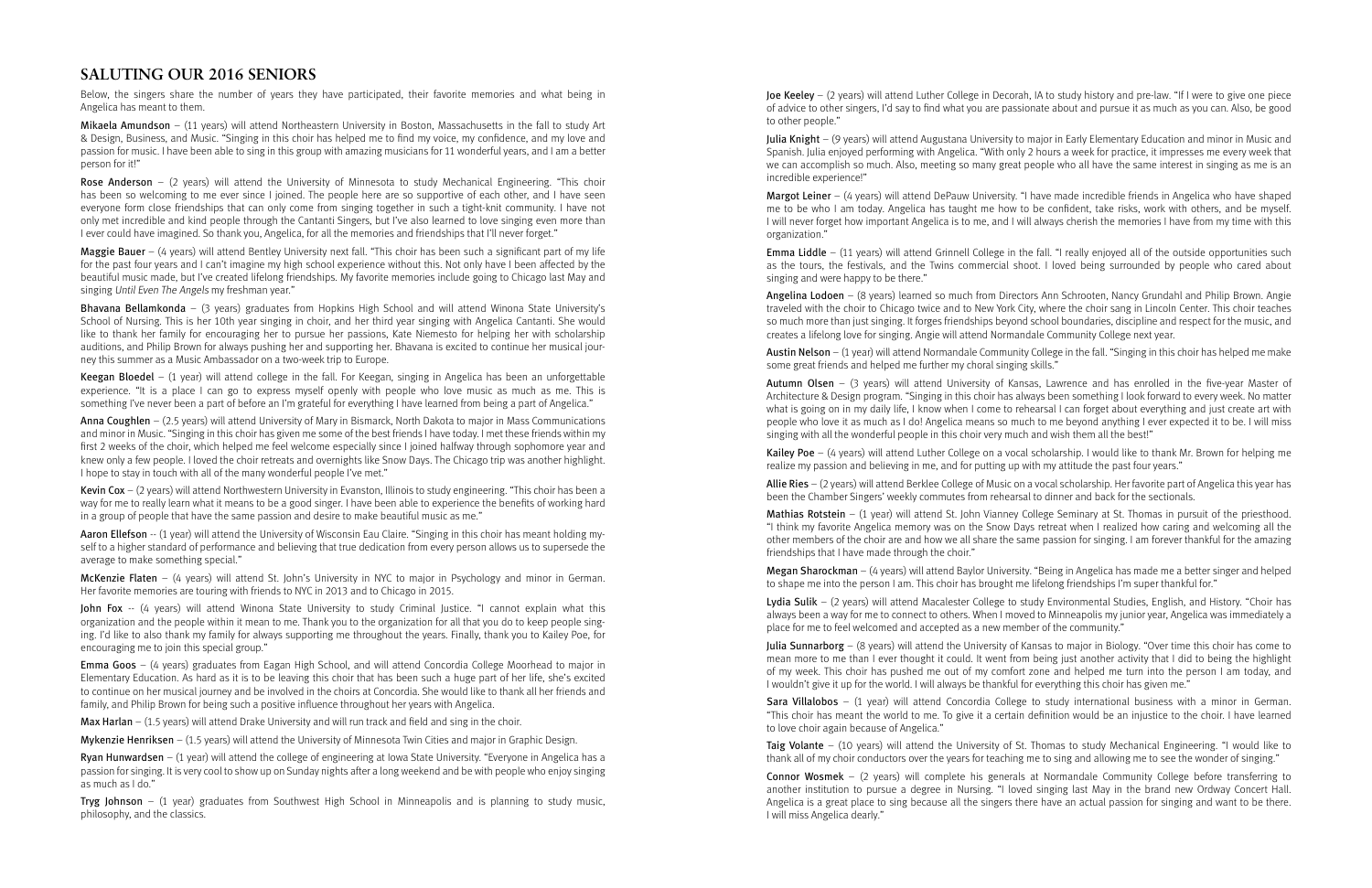Joe Keeley – (2 years) will attend Luther College in Decorah, IA to study history and pre-law. "If I were to give one piece of advice to other singers, I'd say to find what you are passionate about and pursue it as much as you can. Also, be good to other people."

Julia Knight – (9 years) will attend Augustana University to major in Early Elementary Education and minor in Music and Spanish. Julia enjoyed performing with Angelica. "With only 2 hours a week for practice, it impresses me every week that we can accomplish so much. Also, meeting so many great people who all have the same interest in singing as me is an incredible experience!"

Margot Leiner – (4 years) will attend DePauw University. "I have made incredible friends in Angelica who have shaped me to be who I am today. Angelica has taught me how to be confident, take risks, work with others, and be myself. I will never forget how important Angelica is to me, and I will always cherish the memories I have from my time with this organization."

Austin Nelson – (1 year) will attend Normandale Community College in the fall. "Singing in this choir has helped me make some great friends and helped me further my choral singing skills."

Emma Liddle – (11 years) will attend Grinnell College in the fall. "I really enjoyed all of the outside opportunities such as the tours, the festivals, and the Twins commercial shoot. I loved being surrounded by people who cared about singing and were happy to be there."

Angelina Lodoen – (8 years) learned so much from Directors Ann Schrooten, Nancy Grundahl and Philip Brown. Angie traveled with the choir to Chicago twice and to New York City, where the choir sang in Lincoln Center. This choir teaches so much more than just singing. It forges friendships beyond school boundaries, discipline and respect for the music, and creates a lifelong love for singing. Angie will attend Normandale Community College next year.

Lydia Sulik - (2 years) will attend Macalester College to study Environmental Studies, English, and History. "Choir has always been a way for me to connect to others. When I moved to Minneapolis my junior year, Angelica was immediately a place for me to feel welcomed and accepted as a new member of the community."

**Julia Sunnarborg** – (8 years) will attend the University of Kansas to major in Biology. "Over time this choir has come to mean more to me than I ever thought it could. It went from being just another activity that I did to being the highlight of my week. This choir has pushed me out of my comfort zone and helped me turn into the person I am today, and I wouldn't give it up for the world. I will always be thankful for everything this choir has given me."

Autumn Olsen – (3 years) will attend University of Kansas, Lawrence and has enrolled in the five-year Master of Architecture & Design program. "Singing in this choir has always been something I look forward to every week. No matter what is going on in my daily life, I know when I come to rehearsal I can forget about everything and just create art with people who love it as much as I do! Angelica means so much to me beyond anything I ever expected it to be. I will miss singing with all the wonderful people in this choir very much and wish them all the best!"

Kailey Poe – (4 years) will attend Luther College on a vocal scholarship. I would like to thank Mr. Brown for helping me realize my passion and believing in me, and for putting up with my attitude the past four years."

Allie Ries – (2 years) will attend Berklee College of Music on a vocal scholarship. Her favorite part of Angelica this year has been the Chamber Singers' weekly commutes from rehearsal to dinner and back for the sectionals.

Mathias Rotstein – (1 year) will attend St. John Vianney College Seminary at St. Thomas in pursuit of the priesthood. "I think my favorite Angelica memory was on the Snow Days retreat when I realized how caring and welcoming all the other members of the choir are and how we all share the same passion for singing. I am forever thankful for the amazing friendships that I have made through the choir."

**Maggie Bauer** – (4 years) will attend Bentley University next fall. "This choir has been such a significant part of my life for the past four years and I can't imagine my high school experience without this. Not only have I been affected by the beautiful music made, but I've created lifelong friendships. My favorite memories include going to Chicago last May and singing Until Even The Angels my freshman year."

> Megan Sharockman – (4 years) will attend Baylor University. "Being in Angelica has made me a better singer and helped to shape me into the person I am. This choir has brought me lifelong friendships I'm super thankful for."

Kevin Cox –  $(2 \text{ years})$  will attend Northwestern University in Evanston, Illinois to study engineering. "This choir has been a way for me to really learn what it means to be a good singer. I have been able to experience the benefits of working hard in a group of people that have the same passion and desire to make beautiful music as me."

> Sara Villalobos – (1 year) will attend Concordia College to study international business with a minor in German. "This choir has meant the world to me. To give it a certain definition would be an injustice to the choir. I have learned to love choir again because of Angelica."

John Fox -- (4 years) will attend Winona State University to study Criminal Justice. "I cannot explain what this organization and the people within it mean to me. Thank you to the organization for all that you do to keep people singing. I'd like to also thank my family for always supporting me throughout the years. Finally, thank you to Kailey Poe, for encouraging me to join this special group."

> Taig Volante – (10 years) will attend the University of St. Thomas to study Mechanical Engineering. "I would like to thank all of my choir conductors over the years for teaching me to sing and allowing me to see the wonder of singing."

> Connor Wosmek – (2 years) will complete his generals at Normandale Community College before transferring to another institution to pursue a degree in Nursing. "I loved singing last May in the brand new Ordway Concert Hall. Angelica is a great place to sing because all the singers there have an actual passion for singing and want to be there. I will miss Angelica dearly."

**Tryg Johnson** – (1 year) graduates from Southwest High School in Minneapolis and is planning to study music, philosophy, and the classics.

# **SALUTING OUR 2016 SENIORS**

Below, the singers share the number of years they have participated, their favorite memories and what being in Angelica has meant to them.

Mikaela Amundson – (11 years) will attend Northeastern University in Boston, Massachusetts in the fall to study Art & Design, Business, and Music. "Singing in this choir has helped me to find my voice, my confidence, and my love and passion for music. I have been able to sing in this group with amazing musicians for 11 wonderful years, and I am a better person for it!"

Rose Anderson – (2 years) will attend the University of Minnesota to study Mechanical Engineering. "This choir has been so welcoming to me ever since I joined. The people here are so supportive of each other, and I have seen everyone form close friendships that can only come from singing together in such a tight-knit community. I have not only met incredible and kind people through the Cantanti Singers, but I've also learned to love singing even more than I ever could have imagined. So thank you, Angelica, for all the memories and friendships that I'll never forget."

Bhavana Bellamkonda – (3 years) graduates from Hopkins High School and will attend Winona State University's School of Nursing. This is her 10th year singing in choir, and her third year singing with Angelica Cantanti. She would like to thank her family for encouraging her to pursue her passions, Kate Niemesto for helping her with scholarship auditions, and Philip Brown for always pushing her and supporting her. Bhavana is excited to continue her musical journey this summer as a Music Ambassador on a two-week trip to Europe.

Keegan Bloedel – (1 year) will attend college in the fall. For Keegan, singing in Angelica has been an unforgettable experience. "It is a place I can go to express myself openly with people who love music as much as me. This is something I've never been a part of before an I'm grateful for everything I have learned from being a part of Angelica."

Anna Coughlen – (2.5 years) will attend University of Mary in Bismarck, North Dakota to major in Mass Communications and minor in Music. "Singing in this choir has given me some of the best friends I have today. I met these friends within my first 2 weeks of the choir, which helped me feel welcome especially since I joined halfway through sophomore year and knew only a few people. I loved the choir retreats and overnights like Snow Days. The Chicago trip was another highlight. I hope to stay in touch with all of the many wonderful people I've met."

Aaron Ellefson -- (1 year) will attend the University of Wisconsin Eau Claire. "Singing in this choir has meant holding myself to a higher standard of performance and believing that true dedication from every person allows us to supersede the average to make something special."

McKenzie Flaten – (4 years) will attend St. John's University in NYC to major in Psychology and minor in German. Her favorite memories are touring with friends to NYC in 2013 and to Chicago in 2015.

Emma Goos – (4 years) graduates from Eagan High School, and will attend Concordia College Moorhead to major in Elementary Education. As hard as it is to be leaving this choir that has been such a huge part of her life, she's excited to continue on her musical journey and be involved in the choirs at Concordia. She would like to thank all her friends and family, and Philip Brown for being such a positive influence throughout her years with Angelica.

**Max Harlan** – (1.5 years) will attend Drake University and will run track and field and sing in the choir.

Mykenzie Henriksen – (1.5 years) will attend the University of Minnesota Twin Cities and major in Graphic Design.

Ryan Hunwardsen – (1 year) will attend the college of engineering at Iowa State University. "Everyone in Angelica has a passion for singing. It is very cool to show up on Sunday nights after a long weekend and be with people who enjoy singing as much as I do."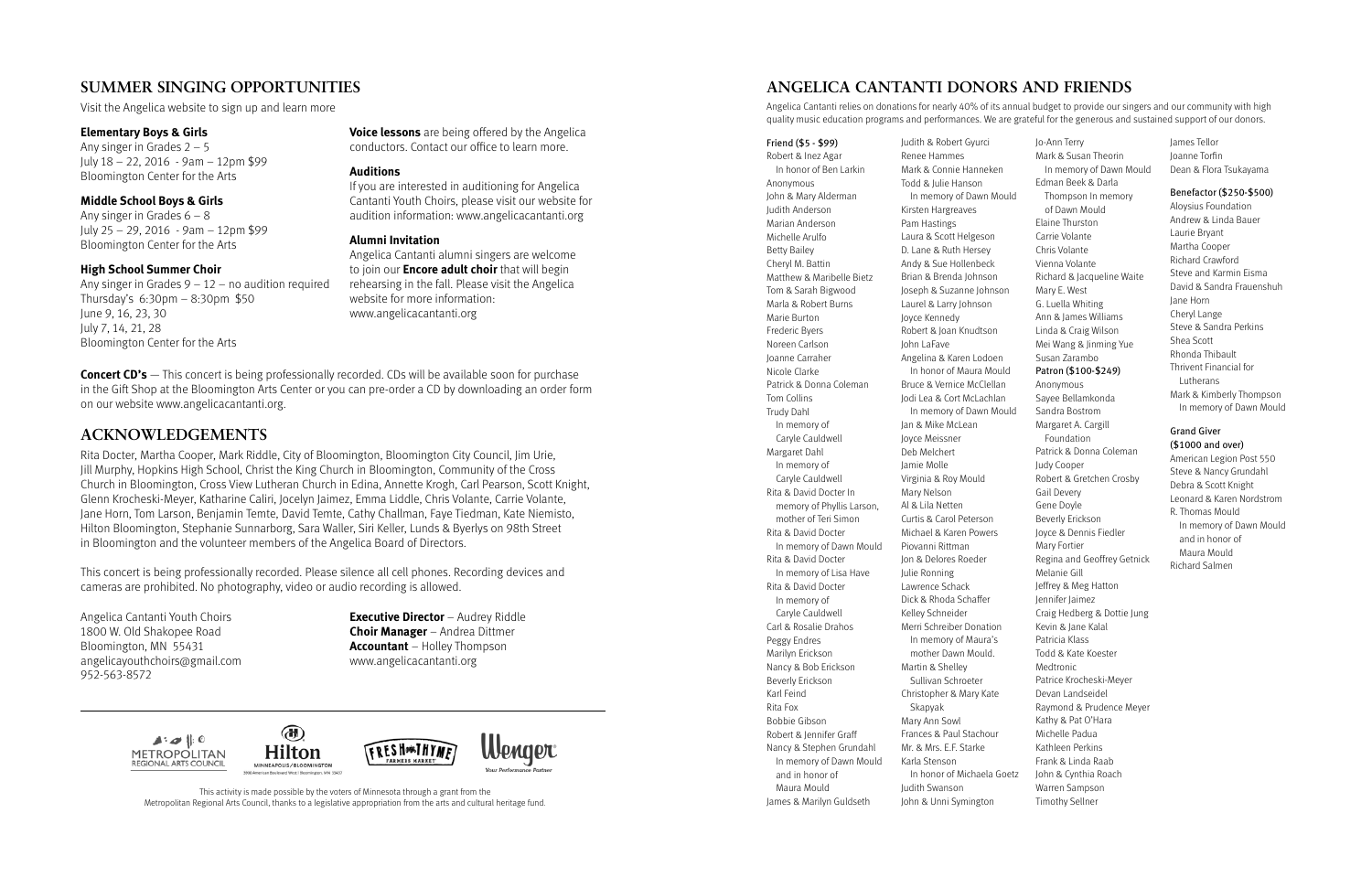**Concert CD's** — This concert is being professionally recorded. CDs will be available soon for purchase in the Gift Shop at the Bloomington Arts Center or you can pre-order a CD by downloading an order form on our website www.angelicacantanti.org.

# **ACKNOWLEDGEMENTS**

Rita Docter, Martha Cooper, Mark Riddle, City of Bloomington, Bloomington City Council, Jim Urie, Jill Murphy, Hopkins High School, Christ the King Church in Bloomington, Community of the Cross Church in Bloomington, Cross View Lutheran Church in Edina, Annette Krogh, Carl Pearson, Scott Knight, Glenn Krocheski-Meyer, Katharine Caliri, Jocelyn Jaimez, Emma Liddle, Chris Volante, Carrie Volante, Jane Horn, Tom Larson, Benjamin Temte, David Temte, Cathy Challman, Faye Tiedman, Kate Niemisto, Hilton Bloomington, Stephanie Sunnarborg, Sara Waller, Siri Keller, Lunds & Byerlys on 98th Street in Bloomington and the volunteer members of the Angelica Board of Directors.

Any singer in Grades  $2 - 5$ July 18 – 22, 2016 - 9am – 12pm \$99 Bloomington Center for the Arts

Any singer in Grades  $6 - 8$ July 25 – 29, 2016 - 9am – 12pm \$99 Bloomington Center for the Arts

Any singer in Grades  $9 - 12 -$  no audition required Thursday's 6:30pm – 8:30pm \$50 June 9, 16, 23, 30 July 7, 14, 21, 28 Bloomington Center for the Arts

This concert is being professionally recorded. Please silence all cell phones. Recording devices and cameras are prohibited. No photography, video or audio recording is allowed.

Angelica Cantanti Youth Choirs **Executive Director** – Audrey Riddle 1800 W. Old Shakopee Road **Choir Manager** – Andrea Dittmer



Bloomington, MN 55431 **Accountant** – Holley Thompson angelicayouthchoirs@gmail.com www.angelicacantanti.org 952-563-8572

# **SUMMER SINGING OPPORTUNITIES**

Visit the Angelica website to sign up and learn more

#### **Elementary Boys & Girls**

#### **Middle School Boys & Girls**

#### **High School Summer Choir**

**Voice lessons** are being offered by the Angelica conductors. Contact our office to learn more.

#### **Auditions**

If you are interested in auditioning for Angelica Cantanti Youth Choirs, please visit our website for audition information: www.angelicacantanti.org

#### **Alumni Invitation**

Angelica Cantanti alumni singers are welcome to join our **Encore adult choir** that will begin rehearsing in the fall. Please visit the Angelica website for more information: www.angelicacantanti.org

# **ANGELICA CANTANTI DONORS AND FRIENDS**

Angelica Cantanti relies on donations for nearly 40% of its annual budget to provide our singers and our community with high quality music education programs and performances. We are grateful for the generous and sustained support of our donors.

Friend (\$5 - \$99) Robert & Inez Agar In honor of Ben Larkin Anonymous John & Mary Alderman Judith Anderson Marian Anderson Michelle Arulfo Betty Bailey Cheryl M. Battin Matthew & Maribelle Bietz Tom & Sarah Bigwood Marla & Robert Burns Marie Burton Frederic Byers Noreen Carlson Joanne Carraher Nicole Clarke Patrick & Donna Coleman Tom Collins Trudy Dahl In memory of Caryle Cauldwell Margaret Dahl In memory of Caryle Cauldwell Rita & David Docter In memory of Phyllis Larson, mother of Teri Simon Rita & David Docter In memory of Dawn Mould Rita & David Docter In memory of Lisa Have Rita & David Docter In memory of Caryle Cauldwell Carl & Rosalie Drahos Peggy Endres Marilyn Erickson Nancy & Bob Erickson Beverly Erickson Karl Feind Rita Fox Bobbie Gibson Robert & Jennifer Graff Nancy & Stephen Grundahl In memory of Dawn Mould and in honor of Maura Mould James & Marilyn Guldseth

Judith & Robert Gyurci Renee Hammes Mark & Connie Hanneken Todd & Julie Hanson In memory of Dawn Moul Kirsten Hargreaves Pam Hastings Laura & Scott Helgeson D. Lane & Ruth Hersey Andy & Sue Hollenbeck Brian & Brenda Johnson Joseph & Suzanne Johnson Laurel & Larry Johnson Joyce Kennedy Robert & Joan Knudtson John LaFave Angelina & Karen Lodoen In honor of Maura Mould Bruce & Vernice McClellan Jodi Lea & Cort McLachlan In memory of Dawn Moul Jan & Mike McLean Joyce Meissner Deb Melchert Jamie Molle Virginia & Roy Mould Mary Nelson Al & Lila Netten Curtis & Carol Peterson Michael & Karen Powers Piovanni Rittman Jon & Delores Roeder Julie Ronning Lawrence Schack Dick & Rhoda Schaffer Kelley Schneider Merri Schreiber Donation In memory of Maura's mother Dawn Mould. Martin & Shelley Sullivan Schroeter Christopher & Mary Kate Skapyak Mary Ann Sowl Frances & Paul Stachour Mr. & Mrs. E.F. Starke Karla Stenson In honor of Michaela Goe Judith Swanson John & Unni Symington

|      | Jo-Ann Terry                                  | James Tellor                           |
|------|-----------------------------------------------|----------------------------------------|
|      | Mark & Susan Theorin                          | Joanne Torfin                          |
|      | In memory of Dawn Mould<br>Edman Beek & Darla | Dean & Flora Tsukayama                 |
| ld   | Thompson In memory                            | Benefactor (\$250-\$500)               |
|      | of Dawn Mould                                 | Aloysius Foundation                    |
|      | Elaine Thurston                               | Andrew & Linda Bauer                   |
|      |                                               | Laurie Bryant                          |
|      | Carrie Volante                                | Martha Cooper                          |
|      | Chris Volante                                 | Richard Crawford                       |
|      | Vienna Volante                                | Steve and Karmin Eisma                 |
|      | Richard & Jacqueline Waite                    | David & Sandra Frauenshuh              |
|      | Mary E. West                                  | Jane Horn                              |
|      | G. Luella Whiting                             |                                        |
|      | Ann & James Williams                          | Cheryl Lange<br>Steve & Sandra Perkins |
|      | Linda & Craig Wilson                          |                                        |
|      | Mei Wang & Jinming Yue                        | Shea Scott                             |
|      | Susan Zarambo                                 | Rhonda Thibault                        |
|      | Patron (\$100-\$249)                          | Thrivent Financial for                 |
|      | Anonymous                                     | Lutherans                              |
|      | Sayee Bellamkonda                             | Mark & Kimberly Thompson               |
| ld   | Sandra Bostrom                                | In memory of Dawn Mould                |
|      | Margaret A. Cargill                           | Grand Giver                            |
|      | Foundation                                    | (\$1000 and over)                      |
|      | Patrick & Donna Coleman                       |                                        |
|      | Judy Cooper                                   | American Legion Post 550               |
|      | Robert & Gretchen Crosby                      | Steve & Nancy Grundahl                 |
|      | Gail Devery                                   | Debra & Scott Knight                   |
|      | Gene Doyle                                    | Leonard & Karen Nordstrom              |
|      | Beverly Erickson                              | R. Thomas Mould                        |
|      | Joyce & Dennis Fiedler                        | In memory of Dawn Mould                |
|      | Mary Fortier                                  | and in honor of                        |
|      | Regina and Geoffrey Getnick                   | Maura Mould                            |
|      | Melanie Gill                                  | <b>Richard Salmen</b>                  |
|      | Jeffrey & Meg Hatton                          |                                        |
|      | Jennifer Jaimez                               |                                        |
|      | Craig Hedberg & Dottie Jung                   |                                        |
|      | Kevin & Jane Kalal                            |                                        |
|      | Patricia Klass                                |                                        |
|      | Todd & Kate Koester                           |                                        |
|      | Medtronic                                     |                                        |
|      | Patrice Krocheski-Meyer                       |                                        |
|      | Devan Landseidel                              |                                        |
|      | Raymond & Prudence Meyer                      |                                        |
|      | Kathy & Pat O'Hara                            |                                        |
|      | Michelle Padua                                |                                        |
|      | Kathleen Perkins                              |                                        |
|      | Frank & Linda Raab                            |                                        |
|      |                                               |                                        |
| etz. | John & Cynthia Roach                          |                                        |
|      | Warren Sampson                                |                                        |
|      | <b>Timothy Sellner</b>                        |                                        |

This activity is made possible by the voters of Minnesota through a grant from the Metropolitan Regional Arts Council, thanks to a legislative appropriation from the arts and cultural heritage fund.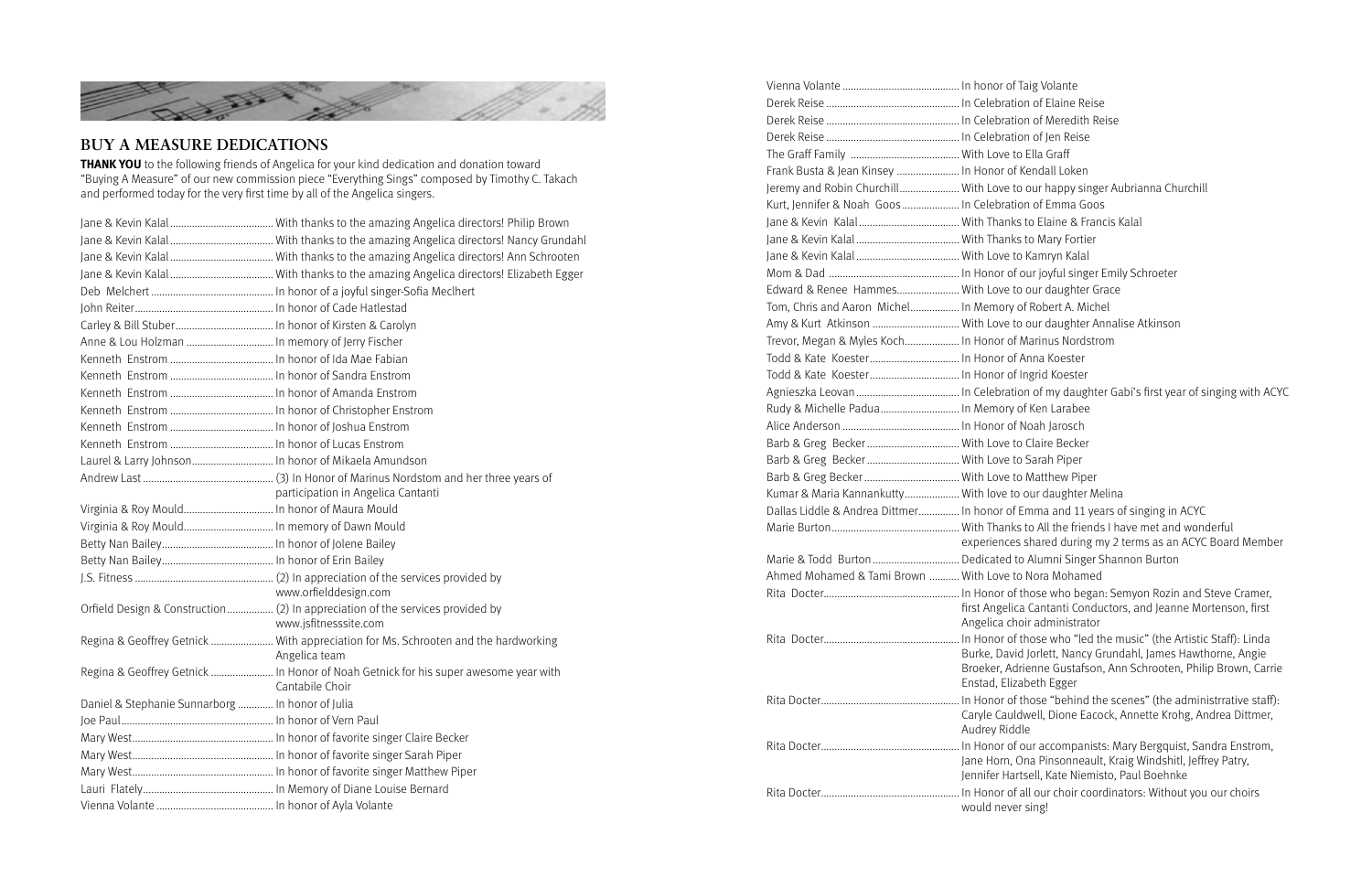- of Taig Volante
- ation of Elaine Reise
- ation of Meredith Reise
- ation of Jen Reise
- e to Ella Graff
- of Kendall Loken
- e to our happy singer Aubrianna Churchill
- ation of Emma Goos
- nks to Elaine & Francis Kalal.
- nks to Mary Fortier
- e to Kamryn Kalal
- of our joyful singer Emily Schroeter
- e to our daughter Grace
- ry of Robert A. Michel
- e to our daughter Annalise Atkinson
- of Marinus Nordstrom
- of Anna Koester
- of Ingrid Koester.
- ation of my daughter Gabi's first year of singing with ACYC
- ry of Ken Larabee
- of Noah Jarosch
- e to Claire Becker.
- e to Sarah Piper.
- e to Matthew Piper
- to our daughter Melina
- of Emma and 11 years of singing in ACYC
- nks to All the friends I have met and wonderful
- ces shared during my 2 terms as an ACYC Board Member
- d to Alumni Singer Shannon Burton.
- e to Nora Mohamed
- of those who began: Semyon Rozin and Steve Cramer, elica Cantanti Conductors, and Jeanne Mortenson, first choir administrator
- of those who "led the music" (the Artistic Staff): Linda avid Jorlett, Nancy Grundahl, James Hawthorne, Angie Adrienne Gustafson, Ann Schrooten, Philip Brown, Carrie Elizabeth Egger
- of those "behind the scenes" (the administrrative staff): auldwell, Dione Eacock, Annette Krohg, Andrea Dittmer, iddle
- of our accompanists: Mary Bergquist, Sandra Enstrom, n, Ona Pinsonneault, Kraig Windshitl, Jeffrey Patry,
- Hartsell, Kate Niemisto, Paul Boehnke
- of all our choir coordinators: Without you our choirs would never sing!

**THANK YOU** to the following friends of Angelica for your kind dedication and donation toward "Buying A Measure" of our new commission piece "Everything Sings" composed by Timothy C. Takach and performed today for the very first time by all of the Angelica singers.



# **BUY A MEASURE DEDICATIONS**

| Anne & Lou Holzman  In memory of Jerry Fischer   |                                                                                                        |
|--------------------------------------------------|--------------------------------------------------------------------------------------------------------|
|                                                  |                                                                                                        |
|                                                  |                                                                                                        |
|                                                  |                                                                                                        |
|                                                  |                                                                                                        |
|                                                  |                                                                                                        |
|                                                  |                                                                                                        |
|                                                  |                                                                                                        |
|                                                  |                                                                                                        |
|                                                  | participation in Angelica Cantanti                                                                     |
|                                                  |                                                                                                        |
|                                                  |                                                                                                        |
|                                                  |                                                                                                        |
|                                                  |                                                                                                        |
|                                                  | www.orfielddesign.com                                                                                  |
|                                                  | www.jsfitnesssite.com                                                                                  |
|                                                  | Regina & Geoffrey Getnick  With appreciation for Ms. Schrooten and the hardworking<br>Angelica team    |
|                                                  | Regina & Geoffrey Getnick  In Honor of Noah Getnick for his super awesome year with<br>Cantabile Choir |
| Daniel & Stephanie Sunnarborg  In honor of Julia |                                                                                                        |
|                                                  |                                                                                                        |
|                                                  |                                                                                                        |
|                                                  |                                                                                                        |
|                                                  |                                                                                                        |
|                                                  |                                                                                                        |
|                                                  |                                                                                                        |

| Frank Busta & Jean Kinsey  In Honor     |                       |
|-----------------------------------------|-----------------------|
| Jeremy and Robin Churchill With Love    |                       |
| Kurt, Jennifer & Noah Goos  In Celebra  |                       |
|                                         |                       |
|                                         |                       |
|                                         |                       |
|                                         |                       |
| Edward & Renee Hammes With Love         |                       |
| Tom, Chris and Aaron Michel In Memor    |                       |
| Amy & Kurt Atkinson  With Love          |                       |
| Trevor, Megan & Myles Koch In Honor     |                       |
|                                         |                       |
|                                         |                       |
|                                         |                       |
| Rudy & Michelle Padua In Memor          |                       |
|                                         |                       |
|                                         |                       |
|                                         |                       |
|                                         |                       |
| Kumar & Maria Kannankutty With love     |                       |
| Dallas Liddle & Andrea Dittmer In honor |                       |
|                                         |                       |
|                                         | experiend             |
|                                         |                       |
| Ahmed Mohamed & Tami Brown  With Love   |                       |
|                                         |                       |
|                                         | first Ange            |
|                                         | Angelica              |
|                                         |                       |
|                                         | Burke, Da<br>Broeker, |
|                                         | Enstad, E             |
|                                         |                       |
|                                         | Caryle Ca             |
|                                         | Audrey Ri             |
|                                         |                       |
|                                         | Jane Horr             |
|                                         | Jennifer H            |
|                                         |                       |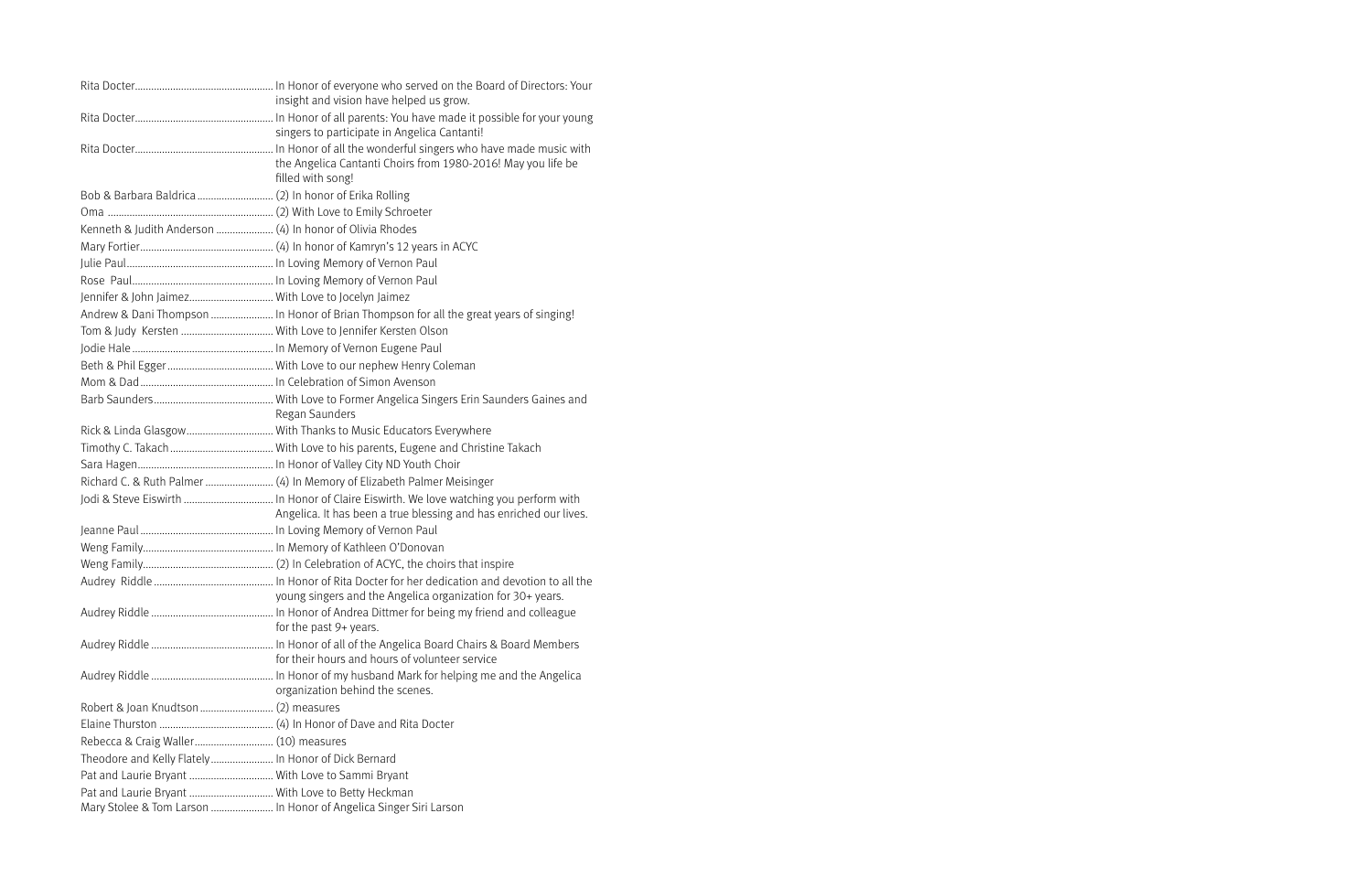|                                                     | insight and vision have helped us grow.                                                |
|-----------------------------------------------------|----------------------------------------------------------------------------------------|
|                                                     | singers to participate in Angelica Cantanti!                                           |
|                                                     |                                                                                        |
|                                                     | the Angelica Cantanti Choirs from 1980-2016! May you life be                           |
|                                                     | filled with song!                                                                      |
|                                                     |                                                                                        |
|                                                     |                                                                                        |
|                                                     |                                                                                        |
|                                                     |                                                                                        |
|                                                     |                                                                                        |
|                                                     |                                                                                        |
| Jennifer & John Jaimez With Love to Jocelyn Jaimez  |                                                                                        |
|                                                     | Andrew & Dani Thompson  In Honor of Brian Thompson for all the great years of singing! |
|                                                     |                                                                                        |
|                                                     |                                                                                        |
|                                                     |                                                                                        |
|                                                     |                                                                                        |
|                                                     |                                                                                        |
|                                                     | Regan Saunders                                                                         |
|                                                     |                                                                                        |
|                                                     |                                                                                        |
|                                                     |                                                                                        |
|                                                     |                                                                                        |
|                                                     |                                                                                        |
|                                                     | Angelica. It has been a true blessing and has enriched our lives.                      |
|                                                     |                                                                                        |
|                                                     |                                                                                        |
|                                                     |                                                                                        |
|                                                     |                                                                                        |
|                                                     | young singers and the Angelica organization for 30+ years.                             |
|                                                     |                                                                                        |
|                                                     | for the past 9+ years.                                                                 |
|                                                     | for their hours and hours of volunteer service                                         |
|                                                     |                                                                                        |
|                                                     | organization behind the scenes.                                                        |
|                                                     |                                                                                        |
|                                                     |                                                                                        |
| Rebecca & Craig Waller (10) measures                |                                                                                        |
| Theodore and Kelly Flately In Honor of Dick Bernard |                                                                                        |
| Pat and Laurie Bryant  With Love to Sammi Bryant    |                                                                                        |
| Pat and Laurie Bryant  With Love to Betty Heckman   |                                                                                        |
|                                                     | Mary Stolee & Tom Larson  In Honor of Angelica Singer Siri Larson                      |
|                                                     |                                                                                        |